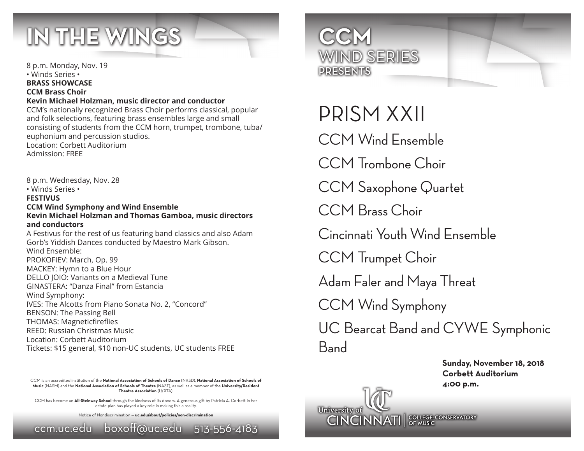

8 p.m. Wednesday, Nov. 28

• Winds Series • **FESTIVUS**

8 p.m. Monday, Nov. 19 • Winds Series • **BRASS SHOWCASE CCM Brass Choir Kevin Michael Holzman, music director and conductor** CCM's nationally recognized Brass Choir performs classical, popular and folk selections, featuring brass ensembles large and small consisting of students from the CCM horn, trumpet, trombone, tuba/ euphonium and percussion studios. Location: Corbett Auditorium Admission: FREE

**CCM Wind Symphony and Wind Ensemble Kevin Michael Holzman and Thomas Gamboa, music directors and conductors** A Festivus for the rest of us featuring band classics and also Adam Gorb's Yiddish Dances conducted by Maestro Mark Gibson. Wind Ensemble: PROKOFIEV: March, Op. 99 MACKEY: Hymn to a Blue Hour DELLO JOIO: Variants on a Medieval Tune GINASTERA: "Danza Final" from Estancia Wind Symphony: IVES: The Alcotts from Piano Sonata No. 2, "Concord" BENSON: The Passing Bell THOMAS: Magneticfireflies REED: Russian Christmas Music Location: Corbett Auditorium Tickets: \$15 general, \$10 non-UC students, UC students FREE

CCM is an accredited institution of the **National Association of Schools of Dance** (NASD), **National Association of Schools of Music** (NASM) and the **National Association of Schools of Theatre** (NAST), as well as a member of the **University/Resident Theatre Association** (U/RTA).

CCM has become an **All-Steinway School** through the kindness of its donors. A generous gift by Patricia A. Corbett in her estate plan has played a key role in making this a reality.

Notice of Nondiscrimination — **uc.edu/about/policies/non-discrimination** ccm.uc.edu boxoff@uc.edu 513-556-4183



## PRISM XXII

CCM Wind Ensemble

CCM Trombone Choir

CCM Saxophone Quartet

CCM Brass Choir

Cincinnati Youth Wind Ensemble

CCM Trumpet Choir

Adam Faler and Maya Threat

CCM Wind Symphony

UC Bearcat Band and CYWE Symphonic **B**and

> **Sunday, November 18, 2018 Corbett Auditorium 4:00 p.m.**